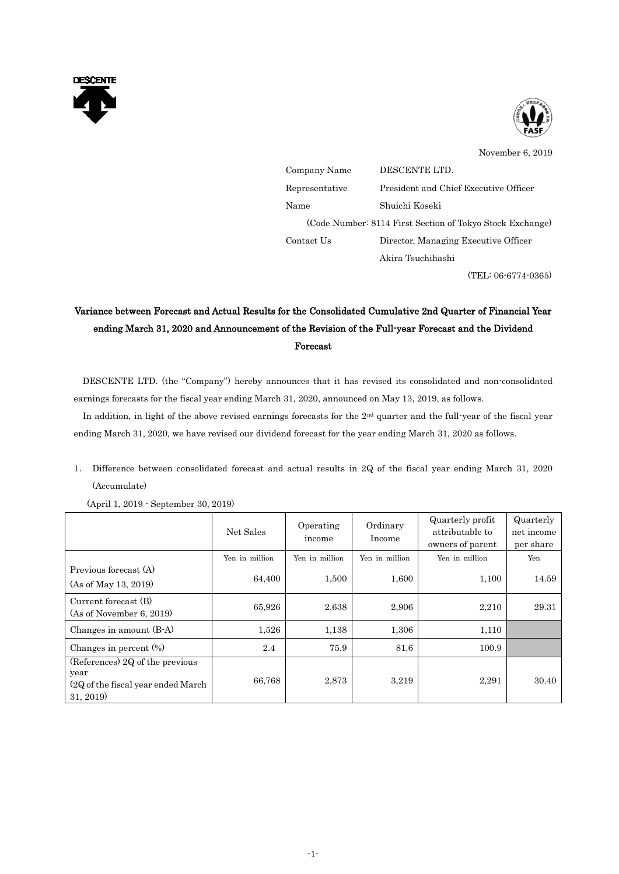



November 6, 2019

| Company Name   | DESCENTE LTD.                                             |
|----------------|-----------------------------------------------------------|
| Representative | President and Chief Executive Officer                     |
| Name           | Shuichi Koseki                                            |
|                | (Code Number: 8114 First Section of Tokyo Stock Exchange) |
| Contact Us     | Director, Managing Executive Officer                      |
|                | Akira Tsuchihashi                                         |
|                |                                                           |

(TEL: 06-6774-0365)

# Variance between Forecast and Actual Results for the Consolidated Cumulative 2nd Quarter of Financial Year ending March 31, 2020 and Announcement of the Revision of the Full-year Forecast and the Dividend Forecast

DESCENTE LTD. (the "Company") hereby announces that it has revised its consolidated and non-consolidated earnings forecasts for the fiscal year ending March 31, 2020, announced on May 13, 2019, as follows.

In addition, in light of the above revised earnings forecasts for the  $2<sup>nd</sup>$  quarter and the full-year of the fiscal year ending March 31, 2020, we have revised our dividend forecast for the year ending March 31, 2020 as follows.

1. Difference between consolidated forecast and actual results in 2Q of the fiscal year ending March 31, 2020 (Accumulate)

|                                                                                             | Net Sales      | Operating<br>income | Ordinary<br>Income | Quarterly profit<br>attributable to<br>owners of parent | Quarterly<br>net income<br>per share |
|---------------------------------------------------------------------------------------------|----------------|---------------------|--------------------|---------------------------------------------------------|--------------------------------------|
|                                                                                             | Yen in million | Yen in million      | Yen in million     | Yen in million                                          | Yen                                  |
| Previous forecast (A)<br>(As of May 13, 2019)                                               | 64,400         | 1,500               | 1,600              | 1,100                                                   | 14.59                                |
| Current forecast (B)<br>(As of November 6, 2019)                                            | 65,926         | 2,638               | 2,906              | 2,210                                                   | 29.31                                |
| Changes in amount (B-A)                                                                     | 1,526          | 1,138               | 1,306              | 1,110                                                   |                                      |
| Changes in percent $(\%)$                                                                   | 2.4            | 75.9                | 81.6               | 100.9                                                   |                                      |
| (References) 2Q of the previous<br>year<br>(2Q of the fiscal year ended March)<br>31, 2019) | 66,768         | 2,873               | 3,219              | 2,291                                                   | 30.40                                |

(April 1, 2019 - September 30, 2019)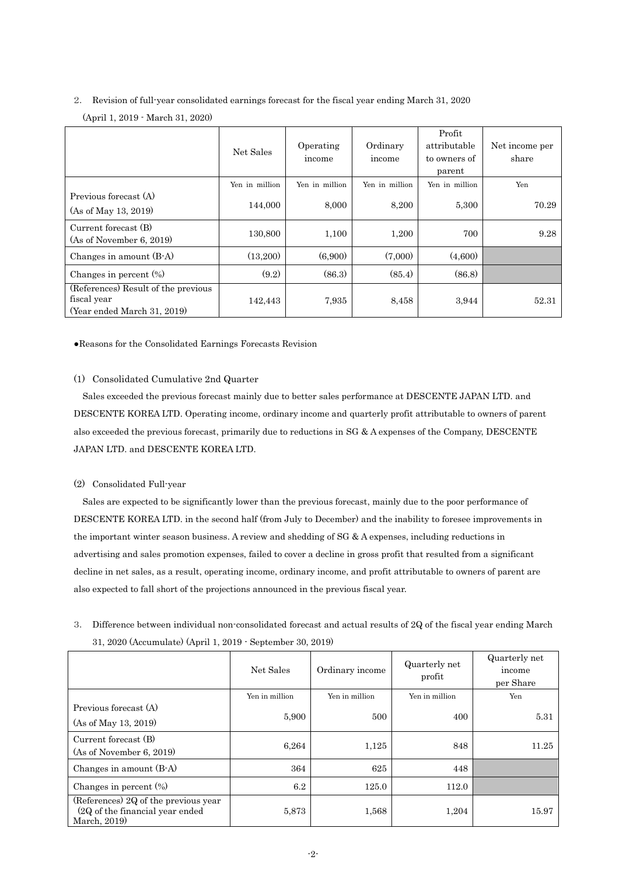## 2. Revision of full-year consolidated earnings forecast for the fiscal year ending March 31, 2020 (April 1, 2019 - March 31, 2020)

|                                                                                   | Net Sales      | Operating<br>income | Ordinary<br>income | Profit<br>attributable<br>to owners of<br>parent | Net income per<br>share |
|-----------------------------------------------------------------------------------|----------------|---------------------|--------------------|--------------------------------------------------|-------------------------|
|                                                                                   | Yen in million | Yen in million      | Yen in million     | Yen in million                                   | Yen                     |
| Previous forecast (A)<br>(As of May 13, 2019)                                     | 144,000        | 8,000               | 8,200              | 5,300                                            | 70.29                   |
| Current forecast (B)<br>(As of November 6, 2019)                                  | 130,800        | 1,100               | 1,200              | 700                                              | 9.28                    |
| Changes in amount (B-A)                                                           | (13,200)       | (6,900)             | (7,000)            | (4,600)                                          |                         |
| Changes in percent $(\%)$                                                         | (9.2)          | (86.3)              | (85.4)             | (86.8)                                           |                         |
| (References) Result of the previous<br>fiscal year<br>(Year ended March 31, 2019) | 142,443        | 7,935               | 8.458              | 3,944                                            | 52.31                   |

●Reasons for the Consolidated Earnings Forecasts Revision

### (1) Consolidated Cumulative 2nd Quarter

Sales exceeded the previous forecast mainly due to better sales performance at DESCENTE JAPAN LTD. and DESCENTE KOREA LTD. Operating income, ordinary income and quarterly profit attributable to owners of parent also exceeded the previous forecast, primarily due to reductions in SG & A expenses of the Company, DESCENTE JAPAN LTD. and DESCENTE KOREA LTD.

### (2) Consolidated Full-year

Sales are expected to be significantly lower than the previous forecast, mainly due to the poor performance of DESCENTE KOREA LTD. in the second half (from July to December) and the inability to foresee improvements in the important winter season business. A review and shedding of SG & A expenses, including reductions in advertising and sales promotion expenses, failed to cover a decline in gross profit that resulted from a significant decline in net sales, as a result, operating income, ordinary income, and profit attributable to owners of parent are also expected to fall short of the projections announced in the previous fiscal year.

| 3. Difference between individual non-consolidated forecast and actual results of 2Q of the fiscal year ending March |
|---------------------------------------------------------------------------------------------------------------------|
| 31, 2020 (Accumulate) (April 1, 2019 · September 30, 2019)                                                          |

|                                                                                          | Net Sales      | Ordinary income | Quarterly net<br>profit | Quarterly net<br>income<br>per Share |
|------------------------------------------------------------------------------------------|----------------|-----------------|-------------------------|--------------------------------------|
|                                                                                          | Yen in million | Yen in million  | Yen in million          | Yen                                  |
| Previous forecast (A)<br>(As of May 13, 2019)                                            | 5,900          | 500             | 400                     | 5.31                                 |
| Current forecast (B)<br>(As of November 6, 2019)                                         | 6,264          | 1,125           | 848                     | 11.25                                |
| Changes in amount (B-A)                                                                  | 364            | 625             | 448                     |                                      |
| Changes in percent $(\%)$                                                                | 6.2            | 125.0           | 112.0                   |                                      |
| (References) 2Q of the previous year<br>(2Q of the financial year ended)<br>March, 2019) | 5,873          | 1,568           | 1,204                   | 15.97                                |